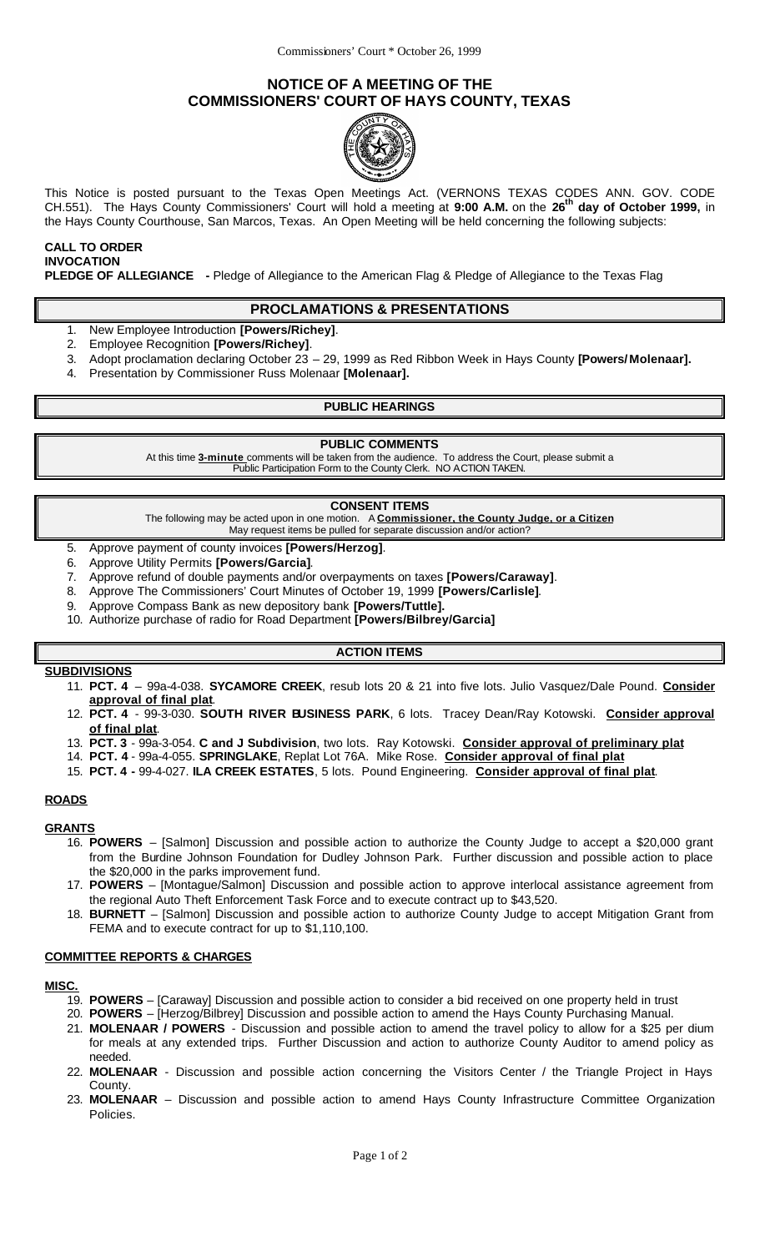# **NOTICE OF A MEETING OF THE COMMISSIONERS' COURT OF HAYS COUNTY, TEXAS**



This Notice is posted pursuant to the Texas Open Meetings Act. (VERNONS TEXAS CODES ANN. GOV. CODE CH.551). The Hays County Commissioners' Court will hold a meeting at **9:00 A.M.** on the **26th day of October 1999,** in the Hays County Courthouse, San Marcos, Texas. An Open Meeting will be held concerning the following subjects:

# **CALL TO ORDER INVOCATION**

**PLEDGE OF ALLEGIANCE -** Pledge of Allegiance to the American Flag & Pledge of Allegiance to the Texas Flag

### **PROCLAMATIONS & PRESENTATIONS**

- 1. New Employee Introduction **[Powers/Richey]**.
- 2. Employee Recognition **[Powers/Richey]**.
- 3. Adopt proclamation declaring October 23 29, 1999 as Red Ribbon Week in Hays County **[Powers/ Molenaar].**
- 4. Presentation by Commissioner Russ Molenaar **[Molenaar].**

#### **PUBLIC HEARINGS**

#### **PUBLIC COMMENTS**

At this time **3-minute** comments will be taken from the audience. To address the Court, please submit a Public Participation Form to the County Clerk. NO ACTION TAKEN.

#### **CONSENT ITEMS**

The following may be acted upon in one motion. A **Commissioner, the County Judge, or a Citizen** May request items be pulled for separate discussion and/or action?

- 5. Approve payment of county invoices **[Powers/Herzog]**.
- 6. Approve Utility Permits **[Powers/Garcia]**.
- 7. Approve refund of double payments and/or overpayments on taxes **[Powers/Caraway]**.
- 8. Approve The Commissioners' Court Minutes of October 19, 1999 **[Powers/Carlisle]**.
- 9. Approve Compass Bank as new depository bank **[Powers/Tuttle].**
- 10. Authorize purchase of radio for Road Department **[Powers/Bilbrey/Garcia]**

### **ACTION ITEMS**

#### **SUBDIVISIONS**

- 11. **PCT. 4**  99a-4-038. **SYCAMORE CREEK**, resub lots 20 & 21 into five lots. Julio Vasquez/Dale Pound. **Consider approval of final plat**.
- 12. **PCT. 4**  99-3-030. **SOUTH RIVER BUSINESS PARK**, 6 lots. Tracey Dean/Ray Kotowski. **Consider approval of final plat**.
- 13. **PCT. 3**  99a-3-054. **C and J Subdivision**, two lots. Ray Kotowski. **Consider approval of preliminary plat**
- 14. **PCT. 4** 99a-4-055. **SPRINGLAKE**, Replat Lot 76A. Mike Rose. **Consider approval of final plat**
- 15. **PCT. 4 -** 99-4-027. **ILA CREEK ESTATES**, 5 lots. Pound Engineering. **Consider approval of final plat**.

#### **ROADS**

#### **GRANTS**

- 16. **POWERS** [Salmon] Discussion and possible action to authorize the County Judge to accept a \$20,000 grant from the Burdine Johnson Foundation for Dudley Johnson Park. Further discussion and possible action to place the \$20,000 in the parks improvement fund.
- 17. **POWERS**  [Montague/Salmon] Discussion and possible action to approve interlocal assistance agreement from the regional Auto Theft Enforcement Task Force and to execute contract up to \$43,520.
- 18. **BURNETT**  [Salmon] Discussion and possible action to authorize County Judge to accept Mitigation Grant from FEMA and to execute contract for up to \$1,110,100.

#### **COMMITTEE REPORTS & CHARGES**

#### **MISC.**

- 19. **POWERS**  [Caraway] Discussion and possible action to consider a bid received on one property held in trust
- 20. **POWERS** [Herzog/Bilbrey] Discussion and possible action to amend the Hays County Purchasing Manual.
- 21. **MOLENAAR / POWERS**  Discussion and possible action to amend the travel policy to allow for a \$25 per dium for meals at any extended trips. Further Discussion and action to authorize County Auditor to amend policy as needed.
- 22. **MOLENAAR**  Discussion and possible action concerning the Visitors Center / the Triangle Project in Hays County.
- 23. **MOLENAAR**  Discussion and possible action to amend Hays County Infrastructure Committee Organization Policies.